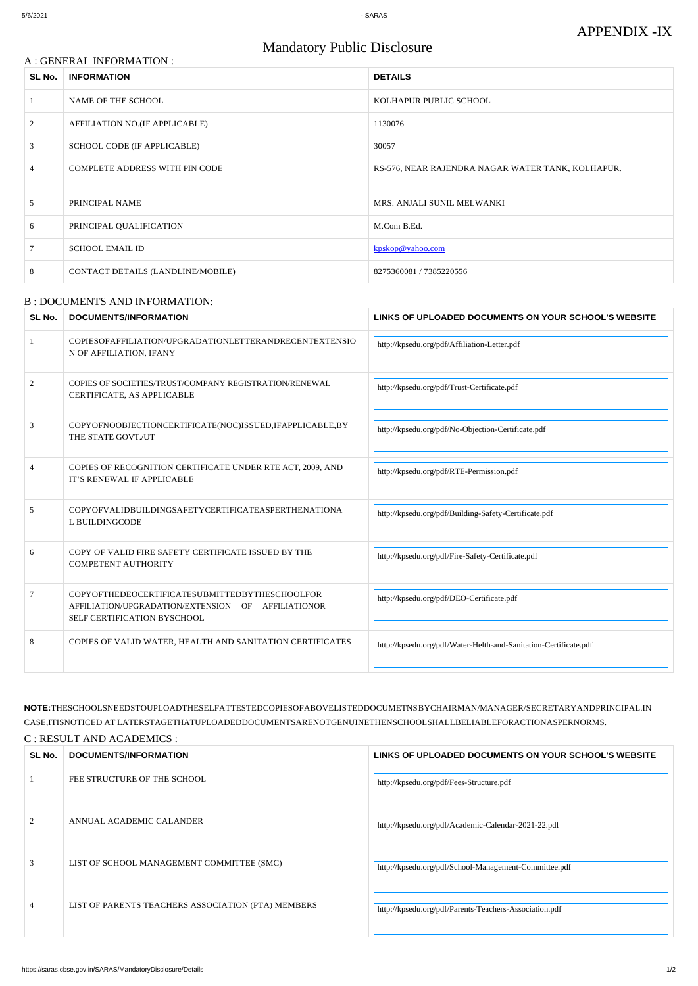### A : GENERAL INFORMATION :

# Mandatory Public Disclosure

| SL No.         | <b>INFORMATION</b>                    | <b>DETAILS</b>                                    |  |
|----------------|---------------------------------------|---------------------------------------------------|--|
|                | NAME OF THE SCHOOL                    | KOLHAPUR PUBLIC SCHOOL                            |  |
| 2              | AFFILIATION NO.(IF APPLICABLE)        | 1130076                                           |  |
| 3              | SCHOOL CODE (IF APPLICABLE)           | 30057                                             |  |
| 4              | <b>COMPLETE ADDRESS WITH PIN CODE</b> | RS-576, NEAR RAJENDRA NAGAR WATER TANK, KOLHAPUR. |  |
| $\mathfrak{H}$ | PRINCIPAL NAME                        | MRS. ANJALI SUNIL MELWANKI                        |  |
| 6              | PRINCIPAL QUALIFICATION               | M.Com B.Ed.                                       |  |
|                | <b>SCHOOL EMAIL ID</b>                | kpskop@yahoo.com                                  |  |
| 8              | CONTACT DETAILS (LANDLINE/MOBILE)     | 8275360081 / 7385220556                           |  |

#### B : DOCUMENTS AND INFORMATION:

| SL No. | DOCUMENTS/INFORMATION                              | LINKS OF UPLOADED DOCUMENTS ON YOUR SCHOOL'S WEBSITE   |
|--------|----------------------------------------------------|--------------------------------------------------------|
|        | FEE STRUCTURE OF THE SCHOOL                        | http://kpsedu.org/pdf/Fees-Structure.pdf               |
|        | ANNUAL ACADEMIC CALANDER                           | http://kpsedu.org/pdf/Academic-Calendar-2021-22.pdf    |
|        | LIST OF SCHOOL MANAGEMENT COMMITTEE (SMC)          | http://kpsedu.org/pdf/School-Management-Committee.pdf  |
|        | LIST OF PARENTS TEACHERS ASSOCIATION (PTA) MEMBERS | http://kpsedu.org/pdf/Parents-Teachers-Association.pdf |

| SL No.         | <b>DOCUMENTS/INFORMATION</b>                                                                                                        | LINKS OF UPLOADED DOCUMENTS ON YOUR SCHOOL'S WEBSITE             |  |
|----------------|-------------------------------------------------------------------------------------------------------------------------------------|------------------------------------------------------------------|--|
|                | COPIESOFAFFILIATION/UPGRADATIONLETTERANDRECENTEXTENSIO<br>N OF AFFILIATION, IFANY                                                   | http://kpsedu.org/pdf/Affiliation-Letter.pdf                     |  |
| $\overline{2}$ | COPIES OF SOCIETIES/TRUST/COMPANY REGISTRATION/RENEWAL<br>CERTIFICATE, AS APPLICABLE                                                | http://kpsedu.org/pdf/Trust-Certificate.pdf                      |  |
| 3              | COPYOFNOOBJECTIONCERTIFICATE(NOC)ISSUED, IFAPPLICABLE, BY<br>THE STATE GOVT./UT                                                     | http://kpsedu.org/pdf/No-Objection-Certificate.pdf               |  |
|                | COPIES OF RECOGNITION CERTIFICATE UNDER RTE ACT, 2009, AND<br>IT'S RENEWAL IF APPLICABLE                                            | http://kpsedu.org/pdf/RTE-Permission.pdf                         |  |
| 5              | COPYOFVALIDBUILDINGSAFETYCERTIFICATEASPERTHENATIONA<br>L BUILDINGCODE                                                               | http://kpsedu.org/pdf/Building-Safety-Certificate.pdf            |  |
| 6              | COPY OF VALID FIRE SAFETY CERTIFICATE ISSUED BY THE<br><b>COMPETENT AUTHORITY</b>                                                   | http://kpsedu.org/pdf/Fire-Safety-Certificate.pdf                |  |
| 7              | COPYOFTHEDEOCERTIFICATESUBMITTEDBYTHESCHOOLFOR<br>AFFILIATION/UPGRADATION/EXTENSION OF AFFILIATIONOR<br>SELF CERTIFICATION BYSCHOOL | http://kpsedu.org/pdf/DEO-Certificate.pdf                        |  |
| 8              | COPIES OF VALID WATER, HEALTH AND SANITATION CERTIFICATES                                                                           | http://kpsedu.org/pdf/Water-Helth-and-Sanitation-Certificate.pdf |  |

**NOTE:**THESCHOOLSNEEDSTOUPLOADTHESELFATTESTEDCOPIESOFABOVELISTEDDOCUMETNSBYCHAIRMAN/MANAGER/SECRETARYANDPRINCIPAL.IN CASE,ITISNOTICED AT LATERSTAGETHATUPLOADEDDOCUMENTSARENOTGENUINETHENSCHOOLSHALLBELIABLEFORACTIONASPERNORMS. C : RESULT AND ACADEMICS :